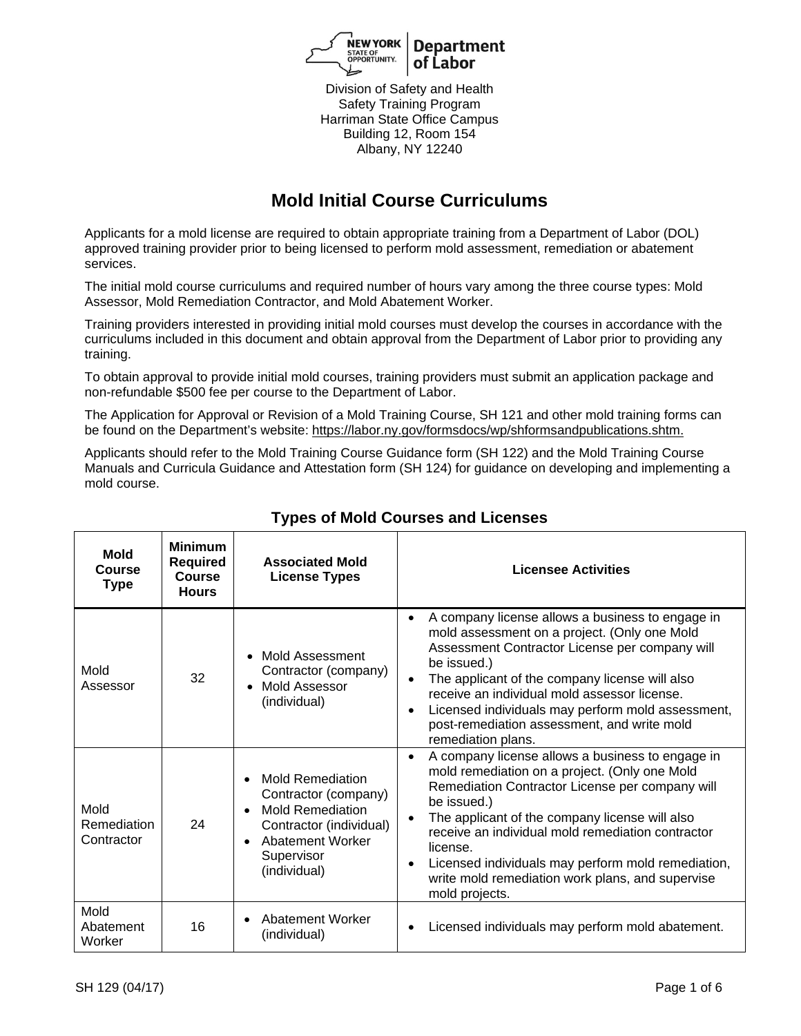

Division of Safety and Health Safety Training Program Harriman State Office Campus Building 12, Room 154 Albany, NY 12240

# **Mold Initial Course Curriculums**

Applicants for a mold license are required to obtain appropriate training from a Department of Labor (DOL) approved training provider prior to being licensed to perform mold assessment, remediation or abatement services.

The initial mold course curriculums and required number of hours vary among the three course types: Mold Assessor, Mold Remediation Contractor, and Mold Abatement Worker.

Training providers interested in providing initial mold courses must develop the courses in accordance with the curriculums included in this document and obtain approval from the Department of Labor prior to providing any training.

To obtain approval to provide initial mold courses, training providers must submit an application package and non-refundable \$500 fee per course to the Department of Labor.

The Application for Approval or Revision of a Mold Training Course, SH 121 and other mold training forms can be found on the Department's website: [https://labor.ny.gov/formsdocs/wp/shformsandpublications.shtm.](https://labor.ny.gov/formsdocs/wp/shformsandpublications.shtm)

Applicants should refer to the Mold Training Course Guidance form (SH 122) and the Mold Training Course Manuals and Curricula Guidance and Attestation form (SH 124) for guidance on developing and implementing a mold course.

| <b>Mold</b><br>Course<br><b>Type</b> | <b>Minimum</b><br><b>Required</b><br><b>Course</b><br><b>Hours</b> | <b>Associated Mold</b><br><b>License Types</b>                                                                                                                             | <b>Licensee Activities</b>                                                                                                                                                                                                                                                                                                                                                                                                                                |
|--------------------------------------|--------------------------------------------------------------------|----------------------------------------------------------------------------------------------------------------------------------------------------------------------------|-----------------------------------------------------------------------------------------------------------------------------------------------------------------------------------------------------------------------------------------------------------------------------------------------------------------------------------------------------------------------------------------------------------------------------------------------------------|
| Mold<br>Assessor                     | 32                                                                 | Mold Assessment<br>$\bullet$<br>Contractor (company)<br>Mold Assessor<br>(individual)                                                                                      | A company license allows a business to engage in<br>$\bullet$<br>mold assessment on a project. (Only one Mold<br>Assessment Contractor License per company will<br>be issued.)<br>The applicant of the company license will also<br>$\bullet$<br>receive an individual mold assessor license.<br>Licensed individuals may perform mold assessment,<br>post-remediation assessment, and write mold<br>remediation plans.                                   |
| Mold<br>Remediation<br>Contractor    | 24                                                                 | Mold Remediation<br>$\bullet$<br>Contractor (company)<br><b>Mold Remediation</b><br>Contractor (individual)<br>Abatement Worker<br>$\bullet$<br>Supervisor<br>(individual) | A company license allows a business to engage in<br>$\bullet$<br>mold remediation on a project. (Only one Mold<br>Remediation Contractor License per company will<br>be issued.)<br>The applicant of the company license will also<br>$\bullet$<br>receive an individual mold remediation contractor<br>license.<br>Licensed individuals may perform mold remediation,<br>$\bullet$<br>write mold remediation work plans, and supervise<br>mold projects. |
| Mold<br>Abatement<br>Worker          | 16                                                                 | Abatement Worker<br>(individual)                                                                                                                                           | Licensed individuals may perform mold abatement.                                                                                                                                                                                                                                                                                                                                                                                                          |

# **Types of Mold Courses and Licenses**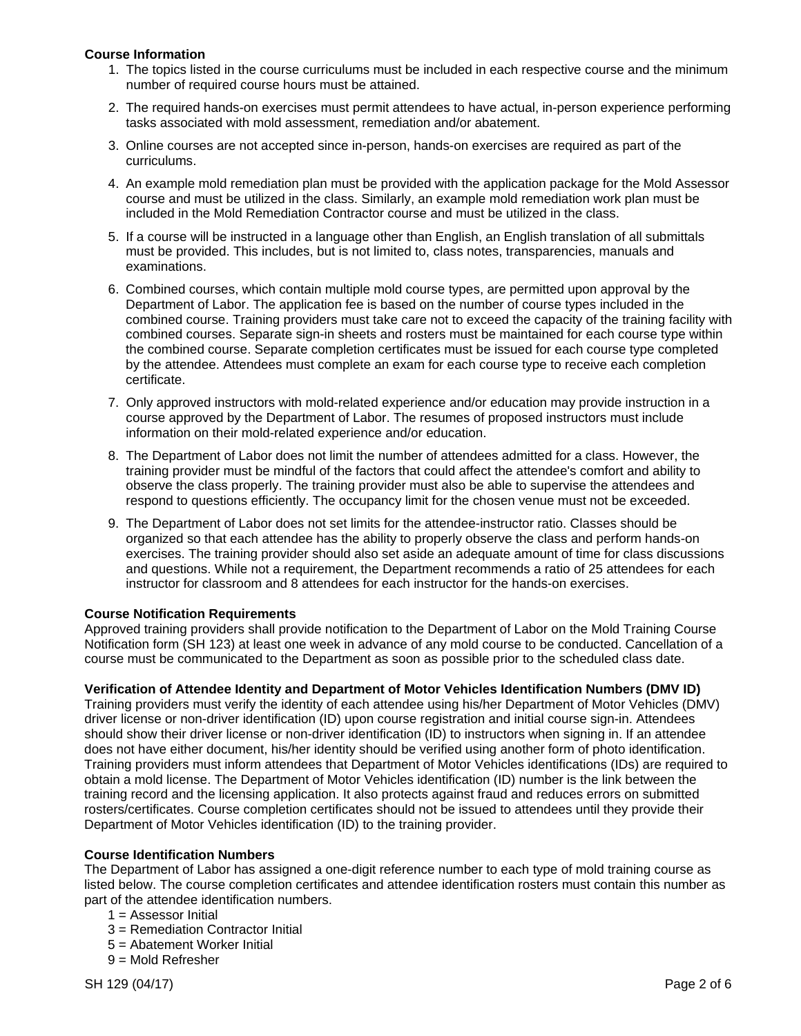#### **Course Information**

- 1. The topics listed in the course curriculums must be included in each respective course and the minimum number of required course hours must be attained.
- 2. The required hands-on exercises must permit attendees to have actual, in-person experience performing tasks associated with mold assessment, remediation and/or abatement.
- 3. Online courses are not accepted since in-person, hands-on exercises are required as part of the curriculums.
- 4. An example mold remediation plan must be provided with the application package for the Mold Assessor course and must be utilized in the class. Similarly, an example mold remediation work plan must be included in the Mold Remediation Contractor course and must be utilized in the class.
- 5. If a course will be instructed in a language other than English, an English translation of all submittals must be provided. This includes, but is not limited to, class notes, transparencies, manuals and examinations.
- 6. Combined courses, which contain multiple mold course types, are permitted upon approval by the Department of Labor. The application fee is based on the number of course types included in the combined course. Training providers must take care not to exceed the capacity of the training facility with combined courses. Separate sign-in sheets and rosters must be maintained for each course type within the combined course. Separate completion certificates must be issued for each course type completed by the attendee. Attendees must complete an exam for each course type to receive each completion certificate.
- 7. Only approved instructors with mold-related experience and/or education may provide instruction in a course approved by the Department of Labor. The resumes of proposed instructors must include information on their mold-related experience and/or education.
- 8. The Department of Labor does not limit the number of attendees admitted for a class. However, the training provider must be mindful of the factors that could affect the attendee's comfort and ability to observe the class properly. The training provider must also be able to supervise the attendees and respond to questions efficiently. The occupancy limit for the chosen venue must not be exceeded.
- 9. The Department of Labor does not set limits for the attendee-instructor ratio. Classes should be organized so that each attendee has the ability to properly observe the class and perform hands-on exercises. The training provider should also set aside an adequate amount of time for class discussions and questions. While not a requirement, the Department recommends a ratio of 25 attendees for each instructor for classroom and 8 attendees for each instructor for the hands-on exercises.

#### **Course Notification Requirements**

Approved training providers shall provide notification to the Department of Labor on the Mold Training Course Notification form (SH 123) at least one week in advance of any mold course to be conducted. Cancellation of a course must be communicated to the Department as soon as possible prior to the scheduled class date.

#### **Verification of Attendee Identity and Department of Motor Vehicles Identification Numbers (DMV ID)**

Training providers must verify the identity of each attendee using his/her Department of Motor Vehicles (DMV) driver license or non-driver identification (ID) upon course registration and initial course sign-in. Attendees should show their driver license or non-driver identification (ID) to instructors when signing in. If an attendee does not have either document, his/her identity should be verified using another form of photo identification. Training providers must inform attendees that Department of Motor Vehicles identifications (IDs) are required to obtain a mold license. The Department of Motor Vehicles identification (ID) number is the link between the training record and the licensing application. It also protects against fraud and reduces errors on submitted rosters/certificates. Course completion certificates should not be issued to attendees until they provide their Department of Motor Vehicles identification (ID) to the training provider.

#### **Course Identification Numbers**

The Department of Labor has assigned a one-digit reference number to each type of mold training course as listed below. The course completion certificates and attendee identification rosters must contain this number as part of the attendee identification numbers.

- 1 = Assessor Initial
- 3 = Remediation Contractor Initial
- 5 = Abatement Worker Initial
- 9 = Mold Refresher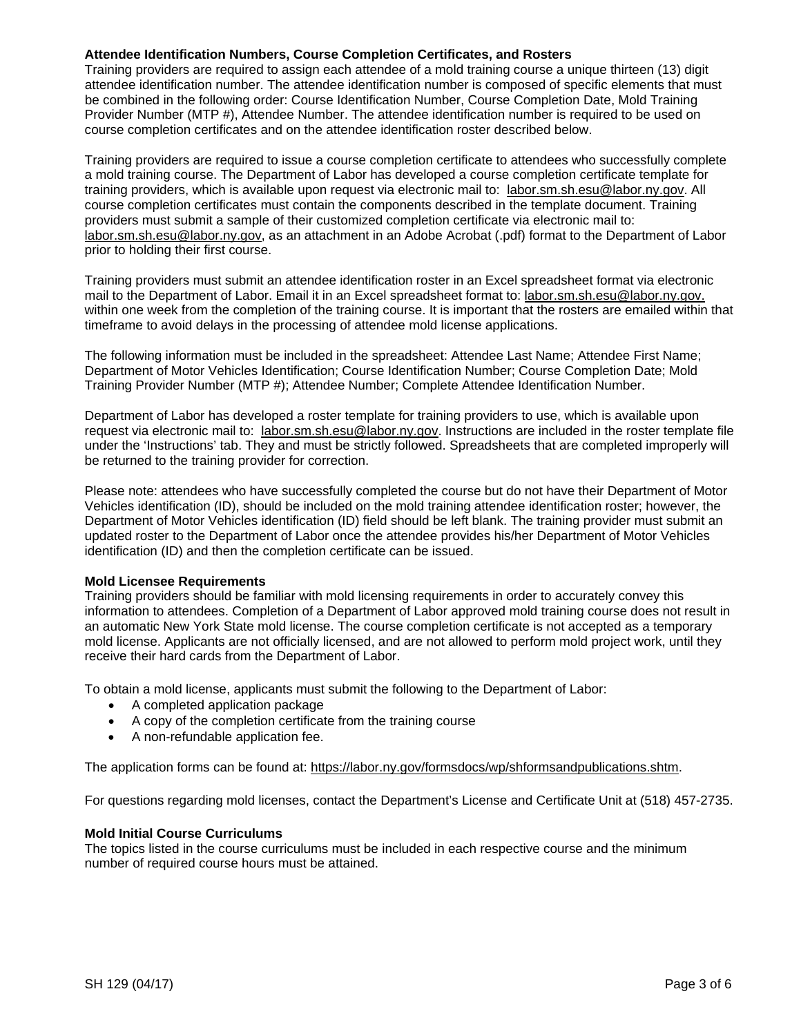#### **Attendee Identification Numbers, Course Completion Certificates, and Rosters**

Training providers are required to assign each attendee of a mold training course a unique thirteen (13) digit attendee identification number. The attendee identification number is composed of specific elements that must be combined in the following order: Course Identification Number, Course Completion Date, Mold Training Provider Number (MTP #), Attendee Number. The attendee identification number is required to be used on course completion certificates and on the attendee identification roster described below.

Training providers are required to issue a course completion certificate to attendees who successfully complete a mold training course. The Department of Labor has developed a course completion certificate template for training providers, which is available upon request via electronic mail to: labor.sm.sh.esu@labor.ny.gov. All course completion certificates must contain the components described in the template document. Training providers must submit a sample of their customized completion certificate via electronic mail to: labor.sm.sh.esu@labor.ny.gov, as an attachment in an Adobe Acrobat (.pdf) format to the Department of Labor prior to holding their first course.

Training providers must submit an attendee identification roster in an Excel spreadsheet format via electronic mail to the Department of Labor. Email it in an Excel spreadsheet format to: labor[.sm.sh.esu@labor.ny.gov.](mailto:sm.sh.esu@labor.ny.gov) within one week from the completion of the training course. It is important that the rosters are emailed within that timeframe to avoid delays in the processing of attendee mold license applications.

The following information must be included in the spreadsheet: Attendee Last Name; Attendee First Name; Department of Motor Vehicles Identification; Course Identification Number; Course Completion Date; Mold Training Provider Number (MTP #); Attendee Number; Complete Attendee Identification Number.

Department of Labor has developed a roster template for training providers to use, which is available upon request via electronic mail to: [labor.sm.sh.esu@labor.ny.gov.](mailto:labor.sm.sh.esu@labor.ny.gov) Instructions are included in the roster template file under the 'Instructions' tab. They and must be strictly followed. Spreadsheets that are completed improperly will be returned to the training provider for correction.

Please note: attendees who have successfully completed the course but do not have their Department of Motor Vehicles identification (ID), should be included on the mold training attendee identification roster; however, the Department of Motor Vehicles identification (ID) field should be left blank. The training provider must submit an updated roster to the Department of Labor once the attendee provides his/her Department of Motor Vehicles identification (ID) and then the completion certificate can be issued.

#### **Mold Licensee Requirements**

Training providers should be familiar with mold licensing requirements in order to accurately convey this information to attendees. Completion of a Department of Labor approved mold training course does not result in an automatic New York State mold license. The course completion certificate is not accepted as a temporary mold license. Applicants are not officially licensed, and are not allowed to perform mold project work, until they receive their hard cards from the Department of Labor.

To obtain a mold license, applicants must submit the following to the Department of Labor:

- A completed application package
- A copy of the completion certificate from the training course
- A non-refundable application fee.

The application forms can be found at: [https://labor.ny.gov/formsdocs/wp/shformsandpublications.shtm.](https://labor.ny.gov/formsdocs/wp/shformsandpublications.shtm)

For questions regarding mold licenses, contact the Department's License and Certificate Unit at (518) 457-2735.

#### **Mold Initial Course Curriculums**

The topics listed in the course curriculums must be included in each respective course and the minimum number of required course hours must be attained.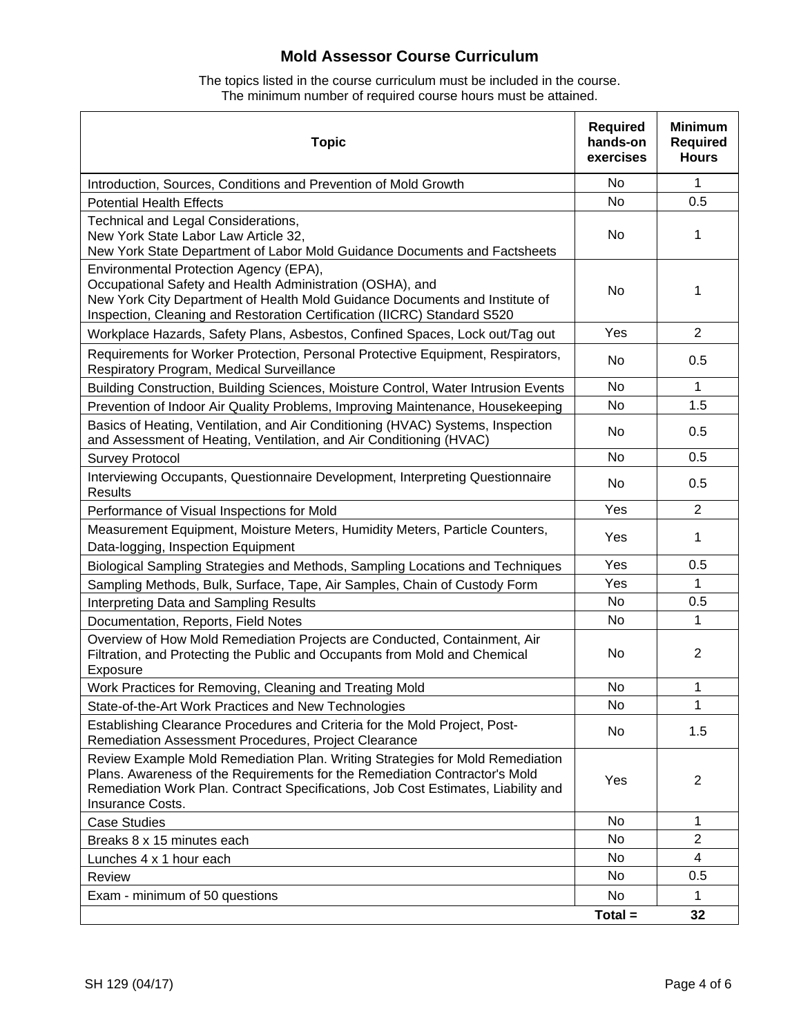# **Mold Assessor Course Curriculum**

The topics listed in the course curriculum must be included in the course. The minimum number of required course hours must be attained.

| <b>Topic</b>                                                                                                                                                                                                                                                         | <b>Required</b><br>hands-on<br>exercises | <b>Minimum</b><br><b>Required</b><br><b>Hours</b> |
|----------------------------------------------------------------------------------------------------------------------------------------------------------------------------------------------------------------------------------------------------------------------|------------------------------------------|---------------------------------------------------|
| Introduction, Sources, Conditions and Prevention of Mold Growth                                                                                                                                                                                                      | No.                                      | $\mathbf 1$                                       |
| <b>Potential Health Effects</b>                                                                                                                                                                                                                                      | <b>No</b>                                | 0.5                                               |
| Technical and Legal Considerations,<br>New York State Labor Law Article 32,<br>New York State Department of Labor Mold Guidance Documents and Factsheets                                                                                                             | No                                       | 1                                                 |
| Environmental Protection Agency (EPA),<br>Occupational Safety and Health Administration (OSHA), and<br>New York City Department of Health Mold Guidance Documents and Institute of<br>Inspection, Cleaning and Restoration Certification (IICRC) Standard S520       | No                                       | 1                                                 |
| Workplace Hazards, Safety Plans, Asbestos, Confined Spaces, Lock out/Tag out                                                                                                                                                                                         | Yes                                      | 2                                                 |
| Requirements for Worker Protection, Personal Protective Equipment, Respirators,<br>Respiratory Program, Medical Surveillance                                                                                                                                         | No.                                      | 0.5                                               |
| Building Construction, Building Sciences, Moisture Control, Water Intrusion Events                                                                                                                                                                                   | No                                       | $\mathbf{1}$                                      |
| Prevention of Indoor Air Quality Problems, Improving Maintenance, Housekeeping                                                                                                                                                                                       | No                                       | 1.5                                               |
| Basics of Heating, Ventilation, and Air Conditioning (HVAC) Systems, Inspection<br>and Assessment of Heating, Ventilation, and Air Conditioning (HVAC)                                                                                                               | No                                       | 0.5                                               |
| <b>Survey Protocol</b>                                                                                                                                                                                                                                               | <b>No</b>                                | 0.5                                               |
| Interviewing Occupants, Questionnaire Development, Interpreting Questionnaire<br><b>Results</b>                                                                                                                                                                      | No.                                      | 0.5                                               |
| Performance of Visual Inspections for Mold                                                                                                                                                                                                                           | Yes                                      | 2                                                 |
| Measurement Equipment, Moisture Meters, Humidity Meters, Particle Counters,<br>Data-logging, Inspection Equipment                                                                                                                                                    | Yes                                      | 1                                                 |
| Biological Sampling Strategies and Methods, Sampling Locations and Techniques                                                                                                                                                                                        | Yes                                      | 0.5                                               |
| Sampling Methods, Bulk, Surface, Tape, Air Samples, Chain of Custody Form                                                                                                                                                                                            | Yes                                      | 1                                                 |
| <b>Interpreting Data and Sampling Results</b>                                                                                                                                                                                                                        | No                                       | 0.5                                               |
| Documentation, Reports, Field Notes                                                                                                                                                                                                                                  | No                                       | 1                                                 |
| Overview of How Mold Remediation Projects are Conducted, Containment, Air<br>Filtration, and Protecting the Public and Occupants from Mold and Chemical<br>Exposure                                                                                                  | No                                       | 2                                                 |
| Work Practices for Removing, Cleaning and Treating Mold                                                                                                                                                                                                              | No                                       | 1                                                 |
| State-of-the-Art Work Practices and New Technologies                                                                                                                                                                                                                 | No.                                      | 1                                                 |
| Establishing Clearance Procedures and Criteria for the Mold Project, Post-<br>Remediation Assessment Procedures, Project Clearance                                                                                                                                   | No                                       | 1.5                                               |
| Review Example Mold Remediation Plan. Writing Strategies for Mold Remediation<br>Plans. Awareness of the Requirements for the Remediation Contractor's Mold<br>Remediation Work Plan. Contract Specifications, Job Cost Estimates, Liability and<br>Insurance Costs. | Yes                                      | 2                                                 |
| <b>Case Studies</b>                                                                                                                                                                                                                                                  | No.                                      | 1                                                 |
| Breaks 8 x 15 minutes each                                                                                                                                                                                                                                           | No                                       | $\mathbf{2}$                                      |
| Lunches 4 x 1 hour each                                                                                                                                                                                                                                              | No                                       | $\overline{4}$                                    |
| Review                                                                                                                                                                                                                                                               | No                                       | 0.5                                               |
| Exam - minimum of 50 questions                                                                                                                                                                                                                                       | No                                       | 1                                                 |
|                                                                                                                                                                                                                                                                      | $Total =$                                | 32                                                |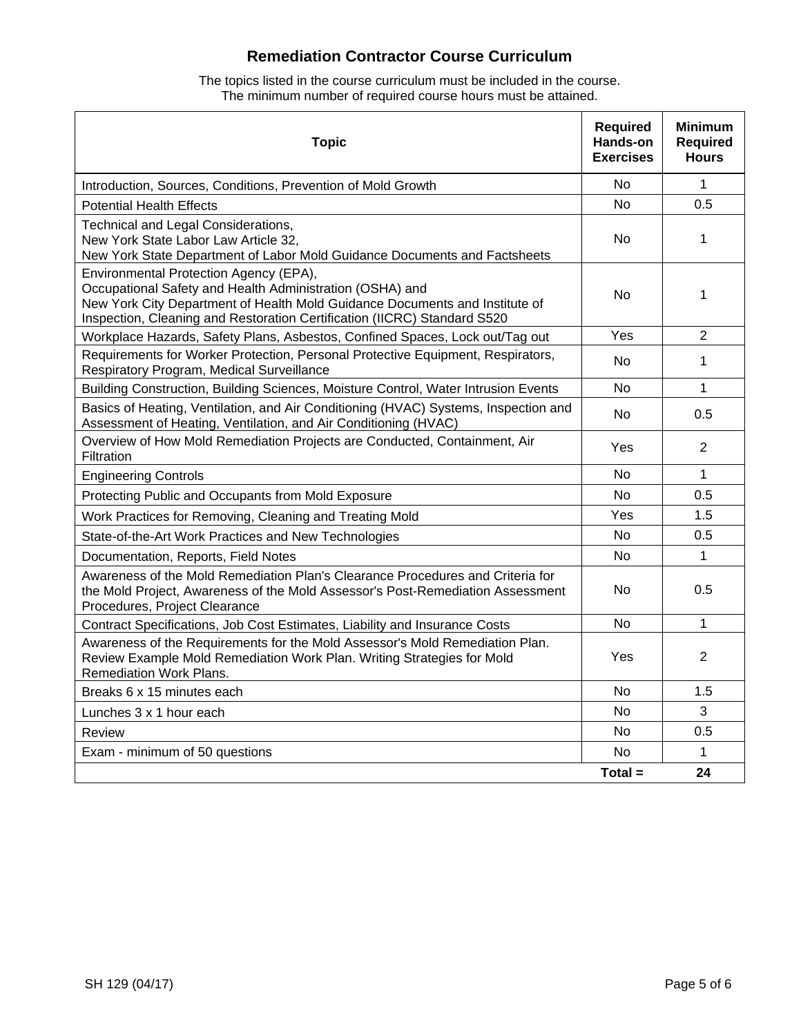# **Remediation Contractor Course Curriculum**

The topics listed in the course curriculum must be included in the course. The minimum number of required course hours must be attained.

| <b>Topic</b>                                                                                                                                                                                                                                                  | <b>Required</b><br>Hands-on<br><b>Exercises</b> | <b>Minimum</b><br><b>Required</b><br><b>Hours</b> |
|---------------------------------------------------------------------------------------------------------------------------------------------------------------------------------------------------------------------------------------------------------------|-------------------------------------------------|---------------------------------------------------|
| Introduction, Sources, Conditions, Prevention of Mold Growth                                                                                                                                                                                                  | N <sub>o</sub>                                  | $\mathbf{1}$                                      |
| <b>Potential Health Effects</b>                                                                                                                                                                                                                               | No.                                             | 0.5                                               |
| Technical and Legal Considerations,<br>New York State Labor Law Article 32,<br>New York State Department of Labor Mold Guidance Documents and Factsheets                                                                                                      | N <sub>o</sub>                                  | 1                                                 |
| Environmental Protection Agency (EPA),<br>Occupational Safety and Health Administration (OSHA) and<br>New York City Department of Health Mold Guidance Documents and Institute of<br>Inspection, Cleaning and Restoration Certification (IICRC) Standard S520 | No.                                             | 1                                                 |
| Workplace Hazards, Safety Plans, Asbestos, Confined Spaces, Lock out/Tag out                                                                                                                                                                                  | Yes                                             | $\overline{2}$                                    |
| Requirements for Worker Protection, Personal Protective Equipment, Respirators,<br>Respiratory Program, Medical Surveillance                                                                                                                                  | No                                              | 1                                                 |
| Building Construction, Building Sciences, Moisture Control, Water Intrusion Events                                                                                                                                                                            | <b>No</b>                                       | 1                                                 |
| Basics of Heating, Ventilation, and Air Conditioning (HVAC) Systems, Inspection and<br>Assessment of Heating, Ventilation, and Air Conditioning (HVAC)                                                                                                        | No.                                             | 0.5                                               |
| Overview of How Mold Remediation Projects are Conducted, Containment, Air<br>Filtration                                                                                                                                                                       | Yes                                             | $\overline{2}$                                    |
| <b>Engineering Controls</b>                                                                                                                                                                                                                                   | <b>No</b>                                       | 1                                                 |
| Protecting Public and Occupants from Mold Exposure                                                                                                                                                                                                            | N <sub>o</sub>                                  | 0.5                                               |
| Work Practices for Removing, Cleaning and Treating Mold                                                                                                                                                                                                       | Yes                                             | 1.5                                               |
| State-of-the-Art Work Practices and New Technologies                                                                                                                                                                                                          | No.                                             | 0.5                                               |
| Documentation, Reports, Field Notes                                                                                                                                                                                                                           | N <sub>o</sub>                                  | 1                                                 |
| Awareness of the Mold Remediation Plan's Clearance Procedures and Criteria for<br>the Mold Project, Awareness of the Mold Assessor's Post-Remediation Assessment<br>Procedures, Project Clearance                                                             | No                                              | 0.5                                               |
| Contract Specifications, Job Cost Estimates, Liability and Insurance Costs                                                                                                                                                                                    | <b>No</b>                                       | 1                                                 |
| Awareness of the Requirements for the Mold Assessor's Mold Remediation Plan.<br>Review Example Mold Remediation Work Plan. Writing Strategies for Mold<br><b>Remediation Work Plans.</b>                                                                      | Yes                                             | $\overline{2}$                                    |
| Breaks 6 x 15 minutes each                                                                                                                                                                                                                                    | <b>No</b>                                       | 1.5                                               |
| Lunches 3 x 1 hour each                                                                                                                                                                                                                                       | N <sub>o</sub>                                  | 3                                                 |
| Review                                                                                                                                                                                                                                                        | No.                                             | 0.5                                               |
| Exam - minimum of 50 questions                                                                                                                                                                                                                                | No                                              | 1                                                 |
|                                                                                                                                                                                                                                                               | $Total =$                                       | 24                                                |